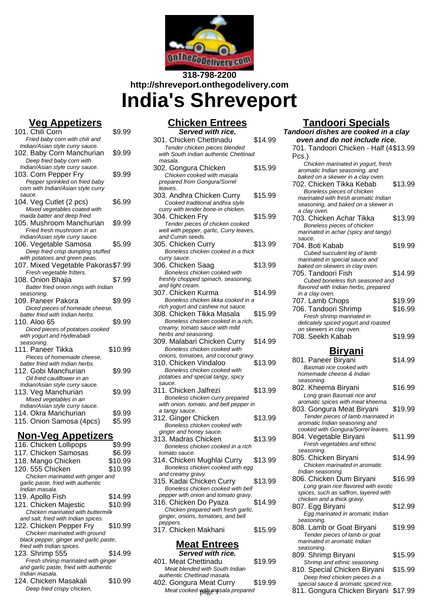

# **318-798-2200 http://shreveport.onthegodelivery.com India's Shreveport**

# **Veg Appetizers**

| - 1<br>1 <i>.</i><br><u>spociación</u><br>101. Chili Corn |         |
|-----------------------------------------------------------|---------|
|                                                           | \$9.99  |
| Fried baby corn with chili and                            |         |
| Indian/Asian style curry sauce.                           |         |
| 102. Baby Corn Manchurian                                 | \$9.99  |
| Deep fried baby corn with                                 |         |
| Indian/Asian style curry sauce.                           |         |
| 103. Corn Pepper Fry                                      | \$9.99  |
| Pepper sprinkled on fried baby                            |         |
| corn with Indian/Asian style curry                        |         |
| sauce.                                                    |         |
| 104. Veg Cutlet (2 pcs)                                   | \$6.99  |
| Mixed vegetables coated with                              |         |
| maida batter and deep fried.                              |         |
| 105. Mushroom Manchurian                                  | \$9.99  |
| Fried fresh mushroom in an                                |         |
| Indian/Asian style curry sauce.                           |         |
| 106. Vegetable Samosa                                     | \$5.99  |
| Deep fried crisp dumpling stuffed                         |         |
| with potatoes and green peas.                             |         |
| 107. Mixed Vegetable Pakoras\$7.99                        |         |
| Fresh vegetable fritters.                                 |         |
|                                                           |         |
| 108. Onion Bhajia                                         | \$7.99  |
| Batter fried onion rings with Indian                      |         |
| seasoning.                                                |         |
| 109. Paneer Pakora                                        | \$9.99  |
| Diced pieces of homeade cheese,                           |         |
| batter fried with Indian herbs.                           |         |
| 110. Aloo 65                                              | \$9.99  |
| Diced pieces of potatoes cooked                           |         |
| with yogurt and Hyderabadi                                |         |
| seasoning.                                                |         |
| 111. Paneer Tikka                                         | \$10.99 |
| Pieces of homemade cheese.                                |         |
| batter fried with Indian herbs.                           |         |
| 112. Gobi Manchurian                                      | \$9.99  |
| Oil fried cauliflower in an                               |         |
| Indian/Asian style curry sauce.                           |         |
| 113. Veg Manchurian                                       | \$9.99  |
| Mixed vegetables in an                                    |         |
| Indian/Asian style curry sauce.                           |         |
| 114. Okra Manchurian                                      | \$9.99  |
| 115. Onion Samosa (4pcs)                                  | \$5.99  |
|                                                           |         |
| Nan Vaa Annafiza                                          |         |

### **Non-Veg Appetizers**

| 116. Chicken Lollipops                 | \$9.99  |
|----------------------------------------|---------|
| 117. Chicken Samosas                   | \$6.99  |
| 118. Mango Chicken                     | \$10.99 |
| 120. 555 Chicken                       | \$10.99 |
| Chicken marinated with ginger and      |         |
| garlic paste, fried with authentic     |         |
| Indian masala.                         |         |
| 119. Apollo Fish                       | \$14.99 |
| 121. Chicken Majestic                  | \$10.99 |
| Chicken marinated with buttermilk      |         |
| and salt, fried with Indian spices.    |         |
| 122. Chicken Pepper Fry                | \$10.99 |
| Chicken marinated with ground          |         |
| black pepper, ginger and garlic paste, |         |
| fried with Indian spices.              |         |
| 123. Shrimp 555                        | \$14.99 |
| Fresh shrimp marinated with ginger     |         |
| and garlic paste, fried with authentic |         |
| Indian masala.                         |         |
| 124. Chicken Masakali                  | \$10.99 |
| Deep fried crispy chicken,             |         |

# **Chicken Entrees**

| Served with rice.                       |         |
|-----------------------------------------|---------|
| 301. Chicken Chettinadu                 | \$14.99 |
| Tender chicken pieces blended           |         |
| with South Indian authentic Chettinad   |         |
| masala.                                 |         |
| 302. Gongura Chicken                    | \$15.99 |
| Chicken cooked with masala              |         |
| prepared from Gongura/Sorrel            |         |
| leaves.                                 |         |
| 303. Andhra Chicken Curry               | \$15.99 |
| Cooked traditional andhra style         |         |
| curry with tender bone-in chicken.      |         |
| 304. Chicken Frv                        | \$15.99 |
| Tender pieces of chicken cooked         |         |
| well with pepper, garlic, Curry leaves, |         |
| and Cumin seeds.                        |         |
| 305. Chicken Curry                      | \$13.99 |
|                                         |         |
| Boneless chicken cooked in a thick      |         |
| curry sauce.                            |         |
| 306. Chicken Saag                       | \$13.99 |
| Boneless chicken cooked with            |         |
| freshly chopped spinach, seasoning,     |         |
| and light cream.                        |         |
| 307. Chicken Kurma                      | \$14.99 |
| Boneless chicken tikka cooked in a      |         |
| rich yogurt and cashew nut sauce.       |         |
| 308. Chicken Tikka Masala               | \$15.99 |
| Boneless chicken cooked in a rich,      |         |
| creamy, tomato sauce with mild          |         |
| herbs and seasoning.                    |         |
| 309. Malabari Chicken Curry             | \$14.99 |
| Boneless chicken cooked with            |         |
| onions, tomatoes, and coconut gravy.    |         |
| 310. Chicken Vindaloo                   | \$13.99 |
| Boneless chicken cooked with            |         |
| potatoes and special tangy, spicy       |         |
| sauce.                                  |         |
| 311. Chicken Jalfrezi                   | \$13.99 |
| Boneless chicken curry prepared         |         |
| with onion, tomato, and bell pepper in  |         |
| a tangy sauce.                          |         |
| 312. Ginger Chicken                     | \$13.99 |
| Boneless chicken cooked with            |         |
| ginger and honey sauce.                 |         |
| 313. Madras Chicken                     | \$13.99 |
| Boneless chicken cooked in a rich       |         |
| tomato sauce.                           |         |
| 314. Chicken Mughlai Curry              | \$13.99 |
| Boneless chicken cooked with egg        |         |
| and creamy gravy.                       |         |
| 315. Kadai Chicken Curry                | \$13.99 |
| Boneless chicken cooked with bell       |         |
| pepper with onion and tomato gravy.     |         |
|                                         |         |

316. Chicken Do Pyaza \$14.99 Chicken prepared with fresh garlic, ginger, onions, tomatoes, and bell peppers. 317. Chicken Makhani \$15.99

#### **Meat Entrees Served with rice.**

401. Meat Chettinadu \$19.99 Meat blended with South Indian authentic Chettinad masala. 402. Gongura Meat Curry \$19.99

# **Tandoori Specials**

| Served with rice.                                               |         | Tandoori dishes are cooked in a clay                                |         |
|-----------------------------------------------------------------|---------|---------------------------------------------------------------------|---------|
| . Chicken Chettinadu                                            | \$14.99 | oven and do not include rice.                                       |         |
| Tender chicken pieces blended                                   |         | 701. Tandoori Chicken - Half (4\$13.99                              |         |
| th South Indian authentic Chettinad                             |         | Pcs.)                                                               |         |
| asala.                                                          |         | Chicken marinated in yogurt, fresh                                  |         |
| . Gongura Chicken                                               | \$15.99 | aromatic Indian seasoning, and                                      |         |
| Chicken cooked with masala                                      |         | baked on a skewer in a clay oven.                                   |         |
| epared from Gongura/Sorrel<br>aves.                             |         | 702. Chicken Tikka Kebab                                            | \$13.99 |
| . Andhra Chicken Curry                                          | \$15.99 | Boneless pieces of chicken                                          |         |
| Cooked traditional andhra style                                 |         | marinated with fresh aromatic Indian                                |         |
| rry with tender bone-in chicken.                                |         | seasoning, and baked on a skewer in                                 |         |
| . Chicken Fry                                                   | \$15.99 | a clay oven.<br>703. Chicken Achar Tikka                            | \$13.99 |
| Tender pieces of chicken cooked                                 |         | Boneless pieces of chicken                                          |         |
| ell with pepper, garlic, Curry leaves,                          |         | marinated in achar (spicy and tangy)                                |         |
| ıd Cumin seeds.                                                 |         | sauce.                                                              |         |
| . Chicken Curry                                                 | \$13.99 | 704. Boti Kabab                                                     | \$19.99 |
| Boneless chicken cooked in a thick                              |         | Cubed succulent leg of lamb                                         |         |
| rry sauce.                                                      |         | marinated in special sauce and                                      |         |
| . Chicken Saag                                                  | \$13.99 | baked on skewers in clay oven.                                      |         |
| Boneless chicken cooked with                                    |         | 705. Tandoori Fish                                                  | \$14.99 |
| shly chopped spinach, seasoning,<br>d light cream.              |         | Cubed boneless fish seasoned and                                    |         |
| . Chicken Kurma                                                 | \$14.99 | flavored with Indian herbs, prepared<br>in a clay oven.             |         |
| Boneless chicken tikka cooked in a                              |         | 707. Lamb Chops                                                     | \$19.99 |
| h yogurt and cashew nut sauce.                                  |         |                                                                     | \$16.99 |
| . Chicken Tikka Masala                                          | \$15.99 | 706. Tandoori Shrimp<br>Fresh shrimp marinated in                   |         |
| Boneless chicken cooked in a rich.                              |         | delicately spiced yogurt and roasted                                |         |
| eamy, tomato sauce with mild                                    |         | on skewers in clay oven.                                            |         |
| rbs and seasoning.                                              |         | 708. Seekh Kabab                                                    | \$19.99 |
| . Malabari Chicken Curry                                        | \$14.99 |                                                                     |         |
| Boneless chicken cooked with                                    |         | <u>Biryani</u>                                                      |         |
| ions, tomatoes, and coconut gravy.                              |         | 801. Paneer Biryani                                                 | \$14.99 |
| . Chicken Vindaloo                                              | \$13.99 | Basmati rice cooked with                                            |         |
| Boneless chicken cooked with<br>tatoes and special tangy, spicy |         | homemade cheese & Indian                                            |         |
| uce.                                                            |         | seasoning.                                                          |         |
| . Chicken Jalfrezi                                              | \$13.99 | 802. Kheema Biryani                                                 | \$16.99 |
| Boneless chicken curry prepared                                 |         | Long grain Basmati rice and                                         |         |
| th onion, tomato, and bell pepper in                            |         | aromatic spices with meat kheema.                                   |         |
| tangy sauce.                                                    |         | 803. Gongura Meat Biryani                                           | \$19.99 |
| . Ginger Chicken                                                | \$13.99 | Tender pieces of lamb marinated in                                  |         |
| Boneless chicken cooked with                                    |         | aromatic Indian seasoning and<br>cooked with Gongura/Sorrel leaves. |         |
| nger and honey sauce.                                           |         | 804. Vegetable Biryani                                              | \$11.99 |
| . Madras Chicken                                                | \$13.99 | Fresh vegetables and ethnic                                         |         |
| Boneless chicken cooked in a rich                               |         | seasoning.                                                          |         |
| mato sauce.                                                     | \$13.99 | 805. Chicken Biryani                                                | \$14.99 |
| . Chicken Mughlai Curry<br>Boneless chicken cooked with egg     |         | Chicken marinated in aromatic                                       |         |
| d creamy gravy.                                                 |         | Indian seasoning.                                                   |         |
| . Kadai Chicken Curry                                           | \$13.99 | 806. Chicken Dum Biryani                                            | \$16.99 |
| Boneless chicken cooked with bell                               |         | Long grain rice flavored with exotic                                |         |
| pper with onion and tomato gravy.                               |         | spices, such as saffron, layered with                               |         |
| . Chicken Do Pyaza                                              | \$14.99 | chicken and a thick gravy.                                          |         |
| Chicken prepared with fresh garlic,                             |         | 807. Egg Biryani                                                    | \$12.99 |
| nger, onions, tomatoes, and bell                                |         | Egg marinated in aromatic Indian                                    |         |
| ppers.                                                          |         | seasoning.                                                          | \$19.99 |
| . Chicken Makhani                                               | \$15.99 | 808. Lamb or Goat Biryani<br>Tender pieces of lamb or goat          |         |
|                                                                 |         | marinated in aromatic Indian                                        |         |
| <b>Meat Entrees</b>                                             |         | seasoning.                                                          |         |
| Served with rice.                                               |         | 809. Shrimp Biryani                                                 | \$15.99 |
| . Meat Chettinadu                                               | \$19.99 | Shrimp and ethnic seasoning.                                        |         |
| Meat blended with South Indian                                  |         | 810. Special Chicken Biryani                                        | \$15.99 |
| ıthentic Chettinad masala.                                      |         | Deep fried chicken pieces in a                                      |         |
| . Gongura Meat Curry                                            | \$19.99 | special sauce & aromatic spiced rice.                               |         |
| Meat cooked with masala prepared                                |         | 811. Gongura Chicken Biryani \$17.99                                |         |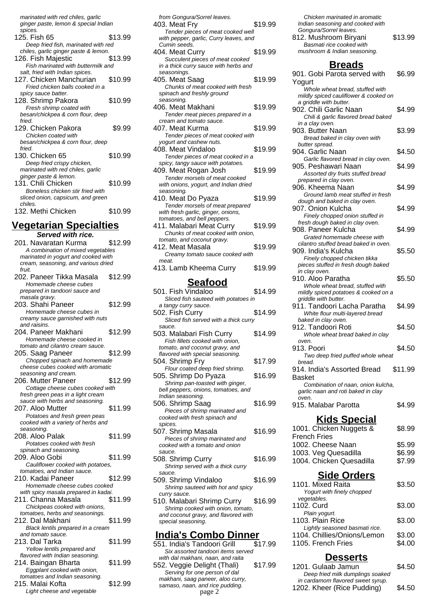marinated with red chiles, garlic ginger paste, lemon & special Indian

spices. 125. Fish 65 \$13.99 Deep fried fish, marinated with red chiles, garlic ginger paste & lemon. 126. Fish Majestic \$13.99 Fish marinated with buttermilk and salt, fried with Indian spices. 127. Chicken Manchurian \$10.99 Fried chicken balls cooked in a spicy sauce batter. 128. Shrimp Pakora \$10.99 Fresh shrimp coated with besan/chickpea & corn flour, deep fried. 129. Chicken Pakora \$9.99 Chicken coated with besan/chickpea & corn flour, deep fried 130. Chicken 65 \$10.99 Deep fried crispy chicken, marinated with red chiles, garlic ginger paste & lemon. 131. Chili Chicken \$10.99 Boneless chicken stir fried with sliced onion, capsicum, and green chiles. 132. Methi Chicken \$10.99

#### **Vegetarian Specialties**

**Served with rice.** 201. Navaratan Kurma \$12.99 A combination of mixed vegetables marinated in yogurt and cooked with cream, seasoning, and various dried fruit. 202. Paneer Tikka Masala \$12.99 Homemade cheese cubes prepared in tandoori sauce and masala gravy. 203. Shahi Paneer \$12.99 Homemade cheese cubes in creamy sauce garnished with nuts and raisins. 204. Paneer Makhani \$12.99 Homemade cheese cooked in tomato and cilantro cream sauce. 205. Saag Paneer \$12.99 Chopped spinach and homemade cheese cubes cooked with aromatic seasoning and cream. 206. Mutter Paneer \$12.99 Cottage cheese cubes cooked with fresh green peas in a light cream sauce with herbs and seasoning. 207. Aloo Mutter \$11.99 Potatoes and fresh green peas cooked with a variety of herbs and seasoning. 208. Aloo Palak \$11.99 Potatoes cooked with fresh spinach and seasoning. 209. Aloo Gobi \$11.99 Cauliflower cooked with potatoes, tomatoes, and Indian sauce. 210. Kadai Paneer \$12.99 Homemade cheese cubes cooked with spicy masala prepared in kadai. 211. Channa Masala \$11.99 Chickpeas cooked with onions, tomatoes, herbs and seasonings. 212. Dal Makhani \$11.99 Black lentils prepared in a cream and tomato sauce. 213. Dal Tarka \$11.99 Yellow lentils prepared and flavored with Indian seasoning. 214. Baingan Bharta \$11.99 Eggplant cooked with onion, tomatoes and Indian seasoning. 215. Malai Kofta \$12.99 Light cheese and vegetable

| from Gongura/Sorrel leaves.<br>403. Meat Fry                       | \$19.99 |
|--------------------------------------------------------------------|---------|
| Tender pieces of meat cooked well                                  |         |
| with pepper, garlic, Curry leaves, and                             |         |
| Cumin seeds.                                                       |         |
| 404. Meat Curry                                                    | \$19.99 |
| Succulent pieces of meat cooked                                    |         |
| in a thick curry sauce with herbs and                              |         |
| seasonings.                                                        |         |
| 405. Meat Saag                                                     | \$19.99 |
| Chunks of meat cooked with fresh<br>spinach and freshly ground     |         |
| seasoning.                                                         |         |
| 406. Meat Makhani                                                  | \$19.99 |
| Tender meat pieces prepared in a                                   |         |
| cream and tomato sauce.                                            |         |
| 407. Meat Kurma                                                    | \$19.99 |
| Tender pieces of meat cooked with                                  |         |
| yogurt and cashew nuts.                                            |         |
| 408. Meat Vindaloo                                                 | \$19.99 |
| Tender pieces of meat cooked in a                                  |         |
| spicy, tangy sauce with potatoes.<br>409. Meat Rogan Josh          | \$19.99 |
| Tender morsels of meat cooked                                      |         |
| with onions, yogurt, and Indian dried                              |         |
| seasoning.                                                         |         |
| 410. Meat Do Pyaza                                                 | \$19.99 |
| Tender morsels of meat prepared                                    |         |
| with fresh garlic, ginger, onions,                                 |         |
| tomatoes, and bell peppers.                                        |         |
| 411. Malabari Meat Curry                                           | \$19.99 |
| Chunks of meat cooked with onion,<br>tomato, and coconut gravy.    |         |
| 412. Meat Masala                                                   | \$19.99 |
| Creamy tomato sauce cooked with                                    |         |
| meat.                                                              |         |
| 413. Lamb Kheema Curry                                             | \$19.99 |
|                                                                    |         |
|                                                                    |         |
| <u>Seafood</u>                                                     |         |
| 501. Fish Vindaloo                                                 | \$14.99 |
| Sliced fish sauteed with potatoes in                               |         |
| a tangy curry sauce.                                               |         |
| 502. Fish Curry                                                    | \$14.99 |
| Sliced fish served with a thick curry                              |         |
| sauce.                                                             |         |
| 503. Malabari Fish Curry                                           | \$14.99 |
| Fish fillets cooked with onion,                                    |         |
| tomato, and coconut gravy, and<br>flavored with special seasoning. |         |
| 504. Shrimp Fry                                                    | \$17.99 |
| Flour coated deep fried shrimp.                                    |         |
| 505. Shrimp Do Pyaza                                               | \$16.99 |
| Shrimp pan-toasted with ginger,                                    |         |
| bell peppers, onions, tomatoes, and                                |         |
| Indian seasoning.                                                  |         |
| 506. Shrimp Saag                                                   | \$16.99 |
| Pieces of shrimp marinated and                                     |         |
| cooked with fresh spinach and<br>spices.                           |         |
| 507. Shrimp Masala                                                 | \$16.99 |
| Pieces of shrimp marinated and                                     |         |
| cooked with a tomato and onion                                     |         |
| sauce.                                                             |         |
| 508. Shrimp Curry                                                  | \$16.99 |
| Shrimp served with a thick curry                                   |         |
| sauce.                                                             |         |
| 509. Shrimp Vindaloo                                               | \$16.99 |
| Shrimp sauteed with hot and spicy<br>curry sauce.                  |         |
| 510. Malabari Shrimp Curry                                         | \$16.99 |
| Shrimp cooked with onion, tomato,                                  |         |
| and coconut gravy, and flavored with                               |         |
| special seasoning.                                                 |         |
|                                                                    |         |
| <b>India's Combo Dinner</b><br>551. India's Tandoori Grill         | \$17.99 |

Six assorted tandoori items served with dal makhani, naan, and raita

552. Veggie Delight (Thali) \$17.99 Serving for one person of dal makhani, saag paneer, aloo curry, samaso, naan, and rice pudding.<br>page 2

Chicken marinated in aromatic Indian seasoning and cooked with Gongura/Sorrel leaves. 812. Mushroom Biryani \$13.99 Basmati rice cooked with mushroom & Indian seasoning. **Breads** 901. Gobi Parota served with  $Re$  00

| Yogurt                                |         |
|---------------------------------------|---------|
| Whole wheat bread, stuffed with       |         |
| mildly spiced cauliflower & cooked on |         |
| a griddle with butter.                |         |
| 902. Chili Garlic Naan                | \$4.99  |
| Chili & garlic flavored bread baked   |         |
| in a clay oven.                       |         |
| 903. Butter Naan                      | \$3.99  |
| Bread baked in clay oven with         |         |
| butter spread.                        |         |
| 904. Garlic Naan                      | \$4.50  |
| Garlic flavored bread in clay oven.   |         |
| 905. Peshawari Naan                   | \$4.99  |
| Assorted dry fruits stuffed bread     |         |
| prepared in clay oven.                |         |
| 906. Kheema Naan                      | \$4.99  |
| Ground lamb meat stuffed in fresh     |         |
| dough and baked in clay oven.         |         |
| 907. Onion Kulcha                     | \$4.99  |
| Finely chopped onion stuffed in       |         |
| fresh dough baked in clay oven.       |         |
| 908. Paneer Kulcha                    |         |
|                                       | \$4.99  |
| Grated homemade cheese with           |         |
| cilantro stuffed bread baked in oven. |         |
| 909. India's Kulcha                   | \$5.50  |
| Finely chopped chicken tikka          |         |
| pieces stuffed in fresh dough baked   |         |
| in clay oven.                         |         |
| 910. Aloo Paratha                     | \$5.50  |
| Whole wheat bread, stuffed with       |         |
| mildly spiced potatoes & cooked on a  |         |
| griddle with butter.                  |         |
| 911. Tandoori Lacha Paratha           | \$4.99  |
| White flour multi-layered bread       |         |
| baked in clay oven.                   |         |
| 912. Tandoori Roti                    | \$4.50  |
| Whole wheat bread baked in clay       |         |
| oven.                                 |         |
| 913. Poori                            | \$4.50  |
| Two deep fried puffed whole wheat     |         |
| bread.                                |         |
|                                       |         |
| 914. India's Assorted Bread           | \$11.99 |
| <b>Basket</b>                         |         |
| Combination of naan, onion kulcha,    |         |
| garlic naan and roti baked in clay    |         |
| oven.                                 |         |
| 915. Malabar Parotta                  | \$4.99  |
|                                       |         |
| <b>Kids Special</b>                   |         |
| 1001. Chicken Nuggets &               |         |
|                                       | \$8.99  |
| <b>French Fries</b>                   |         |
| 1002. Cheese Naan                     | \$5.99  |
| 1003. Veg Quesadilla                  | \$6.99  |
| 1004. Chicken Quesadilla              | \$7.99  |
|                                       |         |
|                                       |         |
| <b>Side Orders</b>                    |         |
| 1101. Mixed Raita                     |         |
| Yogurt with finely chopped            | \$3.50  |
|                                       |         |
| vegetables.                           |         |
|                                       |         |
| 1102. Curd                            | \$3.00  |
| Plain yogurt.                         |         |
| 1103. Plain Rice                      | \$3.00  |
| Lightly seasoned basmati rice.        |         |
| 1104. Chillies/Onions/Lemon           | \$3.00  |
| 1105. French Fries                    | \$4.00  |
|                                       |         |

| າ <i>ເ, naan, and raita</i> |         | Desserts                          |        |
|-----------------------------|---------|-----------------------------------|--------|
| elight (Thali)              | \$17.99 | 1201. Gulaab Jamun                | \$4.50 |
| e person of dal             |         | Deep fried milk dumplings soaked  |        |
| paneer, aloo curry,         |         | in cardamom flavored sweet syrup. |        |
| and rice pudding.<br>page 2 |         | 1202. Kheer (Rice Pudding)        | \$4.50 |
|                             |         |                                   |        |